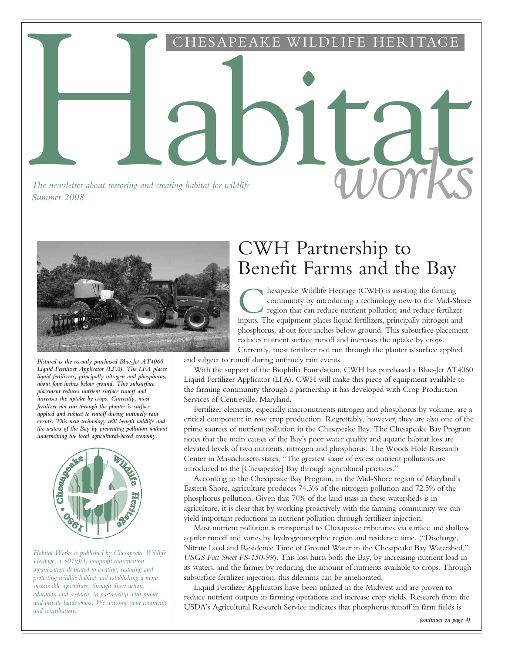Habitat CHESAPEAKE WILDLIFE HERITAGE

*The newsletter about restoring and creating habitat for wildlife The newsletter about restoring and creating habitat for wildlife* and *COUTRS* 



*Pictured is the recently purchased Blue-Jet AT4060 Liquid Fertilizer Applicator (LFA). The LFA places liquid fertilizers, principally nitrogen and phosphorus, about four inches below ground. This subsurface placement reduces nutrient surface runoff and increases the uptake by crops. Currently, most fertilizer not run through the planter is surface applied and subject to runoff during untimely rain events. This new technology will benefit wildlife and the waters of the Bay by preventing pollution without undermining the local agricultural-based economy.*



*Habitat Works is published by Chesapeake Wildlife Heritage, a 501(c)(3) nonprofit conservation organization dedicated to creating, restoring and protecting wildlife habitat and establishing a more sustainable agriculture, through direct action, education and research, in partnership with public and private landowners. We welcome your comments and contributions.*

# CWH Partnership to Benefit Farms and the Bay

**C** hesapeake Wildlife Heritage (CWH) is assisting the farming community by introducing a technology new to the Mid-Shore region that can reduce nutrient pollution and reduce fertilizer inputs. The equipment places liquid hesapeake Wildlife Heritage (CWH) is assisting the farming community by introducing a technology new to the Mid-Shore region that can reduce nutrient pollution and reduce fertilizer phosphorus, about four inches below ground. This subsurface placement reduces nutrient surface runoff and increases the uptake by crops. Currently, most fertilizer not run through the planter is surface applied

and subject to runoff during untimely rain events.

With the support of the Biophilia Foundation, CWH has purchased a Blue-Jet AT4060 Liquid Fertilizer Applicator (LFA). CWH will make this piece of equipment available to the farming community through a partnership it has developed with Crop Production Services of Centreville, Maryland.

Fertilizer elements, especially macronutrients nitrogen and phosphorus by volume, are a critical component in row crop production. Regrettably, however, they are also one of the prime sources of nutrient pollution in the Chesapeake Bay. The Chesapeake Bay Program notes that the main causes of the Bay's poor water quality and aquatic habitat loss are elevated levels of two nutrients, nitrogen and phosphorus. The Woods Hole Research Center in Massachusetts states, "The greatest share of excess nutrient pollutants are introduced to the [Chesapeake] Bay through agricultural practices."

According to the Chesapeake Bay Program, in the Mid-Shore region of Maryland's Eastern Shore, agriculture produces 74.3% of the nitrogen pollution and 72.5% of the phosphorus pollution. Given that 70% of the land mass in these watersheds is in agriculture, it is clear that by working proactively with the farming community we can yield important reductions in nutrient pollution through fertilizer injection.

Most nutrient pollution is transported to Chesapeake tributaries via surface and shallow aquifer runoff and varies by hydrogeomorphic region and residence time. ("Discharge, Nitrate Load and Residence Time of Ground Water in the Chesapeake Bay Watershed," *USGS Fact Sheet FS-150-99*). This loss hurts both the Bay, by increasing nutrient load in its waters, and the farmer by reducing the amount of nutrients available to crops. Through subsurface fertilizer injection, this dilemma can be ameliorated.

Liquid Fertilizer Applicators have been utilized in the Midwest and are proven to reduce nutrient outputs in farming operations and increase crop yields. Research from the USDA's Agricultural Research Service indicates that phosphorus runoff in farm fields is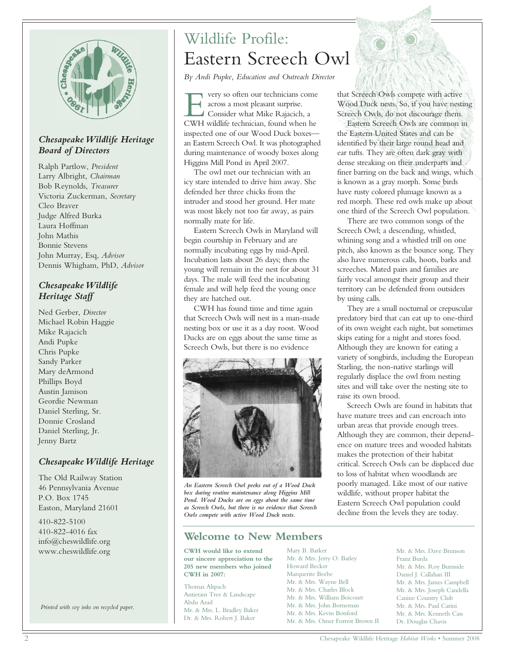

#### *Chesapeake Wildlife Heritage Board of Directors*

Ralph Partlow, *President* Larry Albright, *Chairman*  Bob Reynolds, *Treasurer* Victoria Zuckerman, *Secretary* Cleo Braver Judge Alfred Burka Laura Hoffman John Mathis Bonnie Stevens John Murray, Esq, *Advisor* Dennis Whigham, PhD, *Advisor*

#### *Chesapeake Wildlife Heritage Staff*

Ned Gerber, *Director* Michael Robin Haggie Mike Rajacich Andi Pupke Chris Pupke Sandy Parker Mary deArmond Phillips Boyd Austin Jamison Geordie Newman Daniel Sterling, Sr. Donnie Crosland Daniel Sterling, Jr. Jenny Bartz

## *Chesapeake Wildlife Heritage*

The Old Railway Station 46 Pennsylvania Avenue P.O. Box 1745 Easton, Maryland 21601

410-822-5100 410-822-4016 fax info@cheswildlife.org www.cheswildlife.org

*Printed with soy inks on recycled paper.*

# Wildlife Profile: Eastern Screech Owl

*By Andi Pupke, Education and Outreach Director*

The very so often our technicians come across a most pleasant surprise.<br>Consider what Mike Rajacich, a CWH wildlife technician, found when he very so often our technicians come across a most pleasant surprise. Consider what Mike Rajacich, a inspected one of our Wood Duck boxes an Eastern Screech Owl. It was photographed during maintenance of woody boxes along Higgins Mill Pond in April 2007.

The owl met our technician with an icy stare intended to drive him away. She defended her three chicks from the intruder and stood her ground. Her mate was most likely not too far away, as pairs normally mate for life.

Eastern Screech Owls in Maryland will begin courtship in February and are normally incubating eggs by mid-April. Incubation lasts about 26 days; then the young will remain in the nest for about 31 days. The male will feed the incubating female and will help feed the young once they are hatched out.

CWH has found time and time again that Screech Owls will nest in a man-made nesting box or use it as a day roost. Wood Ducks are on eggs about the same time as Screech Owls, but there is no evidence



*An Eastern Screech Owl peeks out of a Wood Duck box during routine maintenance along Higgins Mill Pond. Wood Ducks are on eggs about the same time as Screech Owls, but there is no evidence that Screech Owls compete with active Wood Duck nests.*

## **Welcome to New Members**

**CWH would like to extend our sincere appreciation to the 205 new members who joined CWH in 2007:**

Thomas Alspach Antietam Tree & Landscape Abdu Azad Mr. & Mrs. L. Bradley Baker Dr. & Mrs. Robert J. Baker

Mary B. Barker Mr. & Mrs. Jerry O. Batley Howard Becker Marquerite Beebe Mr. & Mrs. Wayne Bell Mr. & Mrs. Charles Block Mr. & Mrs. William Boicourt Mr. & Mrs. John Borneman Mr. & Mrs. Kevin Botsford Mr. & Mrs. Omer Forrest Brown II

that Screech Owls compete with active Wood Duck nests. So, if you have nesting Screech Owls, do not discourage them.

Eastern Screech Owls are common in the Eastern United States and can be identified by their large round head and ear tufts. They are often dark gray with dense streaking on their underparts and finer barring on the back and wings, which is known as a gray morph. Some birds have rusty colored plumage known as a red morph. These red owls make up about one third of the Screech Owl population.

There are two common songs of the Screech Owl; a descending, whistled, whining song and a whistled trill on one pitch, also known as the bounce song. They also have numerous calls, hoots, barks and screeches. Mated pairs and families are fairly vocal amongst their group and their territory can be defended from outsiders by using calls.

They are a small nocturnal or crepuscular predatory bird that can eat up to one-third of its own weight each night, but sometimes skips eating for a night and stores food. Although they are known for eating a variety of songbirds, including the European Starling, the non-native starlings will regularly displace the owl from nesting sites and will take over the nesting site to raise its own brood.

Screech Owls are found in habitats that have mature trees and can encroach into urban areas that provide enough trees. Although they are common, their dependence on mature trees and wooded habitats makes the protection of their habitat critical. Screech Owls can be displaced due to loss of habitat when woodlands are poorly managed. Like most of our native wildlife, without proper habitat the Eastern Screech Owl population could decline from the levels they are today.

> Mr. & Mrs. Dave Brunson Franz Burda Mr. & Mrs. Roy Burnside Daniel J. Callahan III Mr. & Mrs. James Campbell Mr. & Mrs. Joseph Candella Canine Country Club Mr. & Mrs. Paul Carini Mr. & Mrs. Kenneth Cass Dr. Douglas Chavis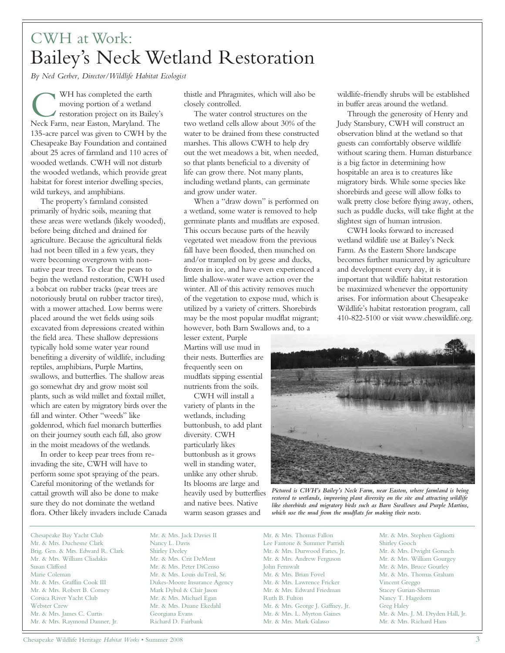# CWH at Work: Bailey's Neck Wetland Restoration

*By Ned Gerber, Director/Wildlife Habitat Ecologist*

WH has completed the earth<br>moving portion of a wetland<br>restoration project on its Bailey'<br>Neck Farm, near Easton, Maryland. The WH has completed the earth moving portion of a wetland restoration project on its Bailey's 135-acre parcel was given to CWH by the Chesapeake Bay Foundation and contained about 25 acres of farmland and 110 acres of wooded wetlands. CWH will not disturb the wooded wetlands, which provide great habitat for forest interior dwelling species, wild turkeys, and amphibians.

The property's farmland consisted primarily of hydric soils, meaning that these areas were wetlands (likely wooded), before being ditched and drained for agriculture. Because the agricultural fields had not been tilled in a few years, they were becoming overgrown with nonnative pear trees. To clear the pears to begin the wetland restoration, CWH used a bobcat on rubber tracks (pear trees are notoriously brutal on rubber tractor tires), with a mower attached. Low berms were placed around the wet fields using soils excavated from depressions created within the field area. These shallow depressions typically hold some water year round benefiting a diversity of wildlife, including reptiles, amphibians, Purple Martins, swallows, and butterflies. The shallow areas go somewhat dry and grow moist soil plants, such as wild millet and foxtail millet, which are eaten by migratory birds over the fall and winter. Other "weeds" like goldenrod, which fuel monarch butterflies on their journey south each fall, also grow in the moist meadows of the wetlands.

In order to keep pear trees from reinvading the site, CWH will have to perform some spot spraying of the pears. Careful monitoring of the wetlands for cattail growth will also be done to make sure they do not dominate the wetland flora. Other likely invaders include Canada thistle and Phragmites, which will also be closely controlled.

The water control structures on the two wetland cells allow about 30% of the water to be drained from these constructed marshes. This allows CWH to help dry out the wet meadows a bit, when needed, so that plants beneficial to a diversity of life can grow there. Not many plants, including wetland plants, can germinate and grow under water.

When a "draw down" is performed on a wetland, some water is removed to help germinate plants and mudflats are exposed. This occurs because parts of the heavily vegetated wet meadow from the previous fall have been flooded, then munched on and/or trampled on by geese and ducks, frozen in ice, and have even experienced a little shallow-water wave action over the winter. All of this activity removes much of the vegetation to expose mud, which is utilized by a variety of critters. Shorebirds may be the most popular mudflat migrant; however, both Barn Swallows and, to a

lesser extent, Purple Martins will use mud in their nests. Butterflies are frequently seen on mudflats sipping essential nutrients from the soils.

CWH will install a variety of plants in the wetlands, including buttonbush, to add plant diversity. CWH particularly likes buttonbush as it grows well in standing water, unlike any other shrub. Its blooms are large and heavily used by butterflies and native bees. Native warm season grasses and

wildlife-friendly shrubs will be established in buffer areas around the wetland.

Through the generosity of Henry and Judy Stansbury, CWH will construct an observation blind at the wetland so that guests can comfortably observe wildlife without scaring them. Human disturbance is a big factor in determining how hospitable an area is to creatures like migratory birds. While some species like shorebirds and geese will allow folks to walk pretty close before flying away, others, such as puddle ducks, will take flight at the slightest sign of human intrusion.

CWH looks forward to increased wetland wildlife use at Bailey's Neck Farm. As the Eastern Shore landscape becomes further manicured by agriculture and development every day, it is important that wildlife habitat restoration be maximized whenever the opportunity arises. For information about Chesapeake Wildlife's habitat restoration program, call 410-822-5100 or visit www.cheswildlife.org.



*Pictured is CWH's Bailey's Neck Farm, near Easton, where farmland is being restored to wetlands, improving plant diversity on the site and attracting wildlife like shorebirds and migratory birds such as Barn Swallows and Purple Martins, which use the mud from the mudflats for making their nests.*

Chesapeake Bay Yacht Club Mr. & Mrs. Duchesne Clark Brig. Gen. & Mrs. Edward R. Clark Mr. & Mrs. William Cliadakis Susan Clifford Marie Coleman Mr. & Mrs. Grafflin Cook III Mr. & Mrs. Robert B. Corney Corsica River Yacht Club Webster Crew Mr. & Mrs. James C. Curtis Mr. & Mrs. Raymond Danner, Jr.

Mr. & Mrs. Jack Davies II Nancy L. Davis Shirley Deeley Mr. & Mrs. Crit DeMent Mr. & Mrs. Peter DiCenso Mr. & Mrs. Louis duTreil, Sr. Dukes-Moore Insurance Agency Mark Dybul & Clair Jason Mr. & Mrs. Michael Egan Mr. & Mrs. Duane Ekedahl Georgiana Evans Richard D. Fairbank

Mr. & Mrs. Thomas Fallon Lee Fantone & Summer Parrish Mr. & Mrs. Durwood Faries, Jr. Mr. & Mrs. Andrew Ferguson John Fernwalt Mr. & Mrs. Brian Fovel Mr. & Mrs. Lawrence Fricker Mr. & Mrs. Edward Friedman Ruth B. Fulton Mr. & Mrs. George J. Gaffney, Jr. Mr. & Mrs. L. Myrton Gaines Mr. & Mrs. Mark Galasso

Mr. & Mrs. Stephen Gigliotti Shirley Gooch Mr. & Mrs. Dwight Gorsuch Mr. & Mrs. William Gourgey Mr. & Mrs. Bruce Gourley Mr. & Mrs. Thomas Graham Vincent Greggo Stacey Gurian-Sherman Nancy T. Hagedorn Greg Haley Mr. & Mrs. J. M. Dryden Hall, Jr. Mr. & Mrs. Richard Hans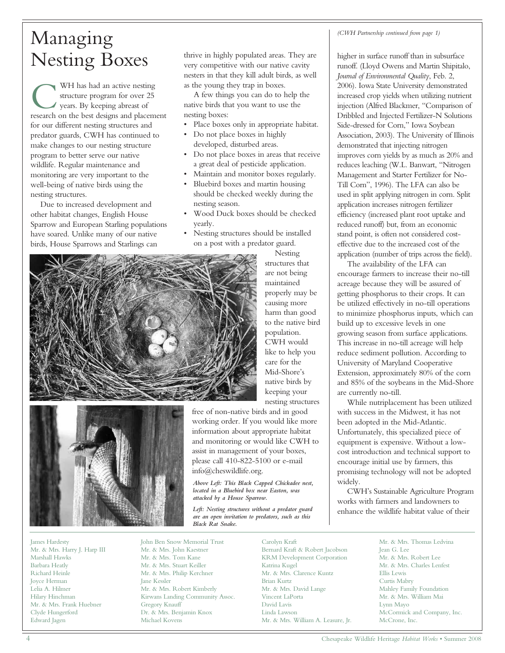# Managing

WH has had an active nesting<br>structure program for over 25<br>years. By keeping abreast of<br>research on the best designs and placement WH has had an active nesting structure program for over 25 years. By keeping abreast of for our different nesting structures and predator guards, CWH has continued to make changes to our nesting structure program to better serve our native wildlife. Regular maintenance and monitoring are very important to the well-being of native birds using the nesting structures.

Due to increased development and other habitat changes, English House Sparrow and European Starling populations have soared. Unlike many of our native birds, House Sparrows and Starlings can

Nesting Boxes thrive in highly populated areas. They are<br>very competitive with our native cavity very competitive with our native cavity nesters in that they kill adult birds, as well as the young they trap in boxes.

> A few things you can do to help the native birds that you want to use the nesting boxes:

- Place boxes only in appropriate habitat.
- Do not place boxes in highly developed, disturbed areas.
- Do not place boxes in areas that receive a great deal of pesticide application.
- Maintain and monitor boxes regularly.
- Bluebird boxes and martin housing should be checked weekly during the nesting season.
- Wood Duck boxes should be checked yearly.
- Nesting structures should be installed on a post with a predator guard.





James Hardesty Mr. & Mrs. Harry J. Harp III Marshall Hawks Barbara Heatly Richard Heinle Joyce Herman Lelia A. Hilmer Hilary Hinchman Mr. & Mrs. Frank Huebner Clyde Hungerford Edward Jagen

are not being maintained properly may be causing more harm than good to the native bird population. CWH would like to help you care for the Mid-Shore's native birds by keeping your nesting structures

Nesting structures that

free of non-native birds and in good working order. If you would like more information about appropriate habitat and monitoring or would like CWH to assist in management of your boxes, please call 410-822-5100 or e-mail info@cheswildlife.org.

*Above Left: This Black Capped Chickadee nest, located in a Bluebird box near Easton, was attacked by a House Sparrow.*

*Left: Nesting structures without a predator guard are an open invitation to predators, such as this Black Rat Snake.*

John Ben Snow Memorial Trust Mr. & Mrs. John Kaestner Mr. & Mrs. Tom Kane Mr. & Mrs. Stuart Keiller Mr. & Mrs. Philip Kerchner Jane Kessler Mr. & Mrs. Robert Kimberly Kirwans Landing Community Assoc. Gregory Knauff Dr. & Mrs. Benjamin Knox Michael Kovens

Carolyn Kraft Bernard Kraft & Robert Jacobson KRM Development Corporation Katrina Kugel Mr. & Mrs. Clarence Kuntz Brian Kurtz Mr. & Mrs. David Lange Vincent LaPorta David Lavis Linda Lawson Mr. & Mrs. William A. Leasure, Jr.

*(CWH Partnership continued from page 1)*

higher in surface runoff than in subsurface runoff. (Lloyd Owens and Martin Shipitalo, *Journal of Environmental Quality*, Feb. 2, 2006). Iowa State University demonstrated increased crop yields when utilizing nutrient injection (Alfred Blackmer, "Comparison of Dribbled and Injected Fertilizer-N Solutions Side-dressed for Corn," Iowa Soybean Association, 2003). The University of Illinois demonstrated that injecting nitrogen improves corn yields by as much as 20% and reduces leaching (W.L. Banwart, "Nitrogen Management and Starter Fertilizer for No-Till Corn", 1996). The LFA can also be used in split applying nitrogen in corn. Split application increases nitrogen fertilizer efficiency (increased plant root uptake and reduced runoff) but, from an economic stand point, is often not considered costeffective due to the increased cost of the application (number of trips across the field).

The availability of the LFA can encourage farmers to increase their no-till acreage because they will be assured of getting phosphorus to their crops. It can be utilized effectively in no-till operations to minimize phosphorus inputs, which can build up to excessive levels in one growing season from surface applications. This increase in no-till acreage will help reduce sediment pollution. According to University of Maryland Cooperative Extension, approximately 80% of the corn and 85% of the soybeans in the Mid-Shore are currently no-till.

While nutriplacement has been utilized with success in the Midwest, it has not been adopted in the Mid-Atlantic. Unfortunately, this specialized piece of equipment is expensive. Without a lowcost introduction and technical support to encourage initial use by farmers, this promising technology will not be adopted widely.

CWH's Sustainable Agriculture Program works with farmers and landowners to enhance the wildlife habitat value of their

> Mr. & Mrs. Thomas Ledvina Jean G. Lee Mr. & Mrs. Robert Lee Mr. & Mrs. Charles Lenfest Ellis Lewis Curtis Mabry Mahley Family Foundation Mr. & Mrs. William Mai Lynn Mayo McCormick and Company, Inc. McCrone, Inc.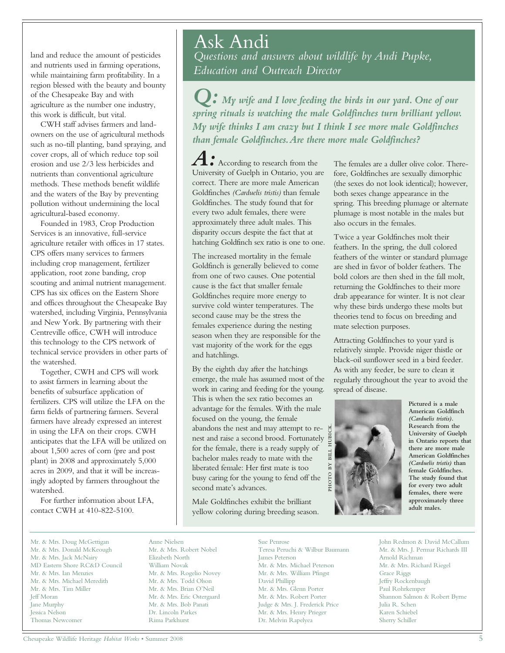land and reduce the amount of pesticides and nutrients used in farming operations, while maintaining farm profitability. In a region blessed with the beauty and bounty of the Chesapeake Bay and with agriculture as the number one industry, this work is difficult, but vital.

CWH staff advises farmers and landowners on the use of agricultural methods such as no-till planting, band spraying, and cover crops, all of which reduce top soil erosion and use 2/3 less herbicides and nutrients than conventional agriculture methods. These methods benefit wildlife and the waters of the Bay by preventing pollution without undermining the local agricultural-based economy.

Founded in 1983, Crop Production Services is an innovative, full-service agriculture retailer with offices in 17 states. CPS offers many services to farmers including crop management, fertilizer application, root zone banding, crop scouting and animal nutrient management. CPS has six offices on the Eastern Shore and offices throughout the Chesapeake Bay watershed, including Virginia, Pennsylvania and New York. By partnering with their Centreville office, CWH will introduce this technology to the CPS network of technical service providers in other parts of the watershed.

Together, CWH and CPS will work to assist farmers in learning about the benefits of subsurface application of fertilizers. CPS will utilize the LFA on the farm fields of partnering farmers. Several farmers have already expressed an interest in using the LFA on their crops. CWH anticipates that the LFA will be utilized on about 1,500 acres of corn (pre and post plant) in 2008 and approximately 5,000 acres in 2009, and that it will be increasingly adopted by farmers throughout the watershed.

For further information about LFA, contact CWH at 410-822-5100.

## Ask Andi

*Questions and answers about wildlife by Andi Pupke, Education and Outreach Director*

*Q: My wife and I love feeding the birds in our yard. One of our spring rituals is watching the male Goldfinches turn brilliant yellow. My wife thinks I am crazy but I think I see more male Goldfinches than female Goldfinches.Are there more male Goldfinches?*

According to research from the University of Guelph in Ontario, you are correct. There are more male American Goldfinches *(Carduelis tristis)* than female Goldfinches. The study found that for every two adult females, there were approximately three adult males. This disparity occurs despite the fact that at hatching Goldfinch sex ratio is one to one.

The increased mortality in the female Goldfinch is generally believed to come from one of two causes. One potential cause is the fact that smaller female Goldfinches require more energy to survive cold winter temperatures. The second cause may be the stress the females experience during the nesting season when they are responsible for the vast majority of the work for the eggs and hatchlings.

By the eighth day after the hatchings emerge, the male has assumed most of the work in caring and feeding for the young. This is when the sex ratio becomes an advantage for the females. With the male focused on the young, the female abandons the nest and may attempt to renest and raise a second brood. Fortunately for the female, there is a ready supply of bachelor males ready to mate with the liberated female: Her first mate is too busy caring for the young to fend off the second mate's advances.

Male Goldfinches exhibit the brilliant yellow coloring during breeding season.

The females are a duller olive color. Therefore, Goldfinches are sexually dimorphic (the sexes do not look identical); however, both sexes change appearance in the spring. This breeding plumage or alternate plumage is most notable in the males but also occurs in the females.

Twice a year Goldfinches molt their feathers. In the spring, the dull colored feathers of the winter or standard plumage are shed in favor of bolder feathers. The bold colors are then shed in the fall molt, returning the Goldfinches to their more drab appearance for winter. It is not clear why these birds undergo these molts but theories tend to focus on breeding and mate selection purposes.

Attracting Goldfinches to your yard is relatively simple. Provide niger thistle or black-oil sunflower seed in a bird feeder. As with any feeder, be sure to clean it regularly throughout the year to avoid the spread of disease.



**Pictured is a male American Goldfinch** *(Carduelis tristis)***. Research from the University of Guelph in Ontario reports that there are more male American Goldfinches** *(Carduelis tristis)* **than female Goldfinches. The study found that for every two adult females, there were approximately three adult males.**

Mr. & Mrs. Doug McGettigan Mr. & Mrs. Donald McKeough Mr. & Mrs. Jack McNairy MD Eastern Shore RC&D Council Mr. & Mrs. Ian Menzies Mr. & Mrs. Michael Meredith Mr. & Mrs. Tim Miller Jeff Moran Jane Murphy Jessica Nelson Thomas Newcomer

Anne Nielsen Mr. & Mrs. Robert Nobel Elizabeth North William Novak Mr. & Mrs. Rogelio Novey Mr. & Mrs. Todd Olson Mr. & Mrs. Brian O'Neil Mr. & Mrs. Eric Ostergaard Mr. & Mrs. Bob Panati Dr. Lincoln Parkes Rima Parkhurst

Sue Penrose Teresa Peruchi & Wilbur Baumann James Peterson Mr. & Mrs. Michael Peterson Mr. & Mrs. William Pfingst David Phillipp Mr. & Mrs. Glenn Porter Mr. & Mrs. Robert Porter Judge & Mrs. J. Frederick Price Mr. & Mrs. Henry Prieger Dr. Melvin Rapelyea

John Redmon & David McCallum Mr. & Mrs. J. Permar Richards III Arnold Richman Mr. & Mrs. Richard Riegel Grace Riggs Jeffry Rockenbaugh Paul Rohrkemper Shannon Salmon & Robert Byrne Julia R. Schen Karen Schiebel Sherry Schiller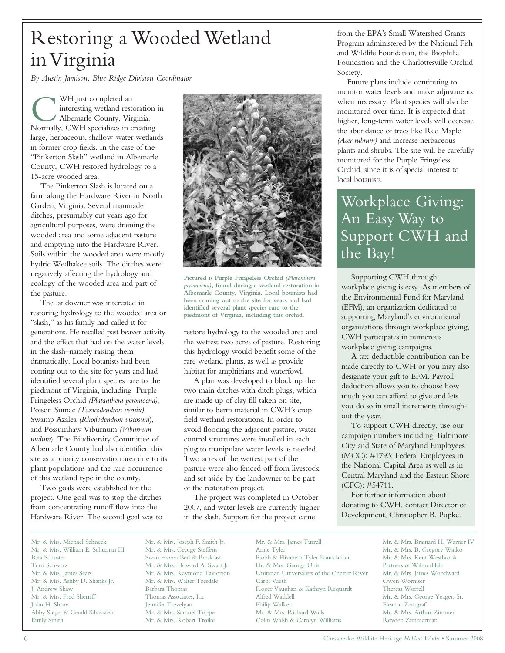# Restoring a Wooded Wetland in Virginia

*By Austin Jamison, Blue Ridge Division Coordinator*

WH just completed an<br>interesting wetland restoration<br>Albemarle County, Virginia.<br>Normally, CWH specializes in creating WH just completed an interesting wetland restoration in Albemarle County, Virginia. large, herbaceous, shallow-water wetlands in former crop fields. In the case of the "Pinkerton Slash" wetland in Albemarle County, CWH restored hydrology to a 15-acre wooded area.

The Pinkerton Slash is located on a farm along the Hardware River in North Garden, Virginia. Several manmade ditches, presumably cut years ago for agricultural purposes, were draining the wooded area and some adjacent pasture and emptying into the Hardware River. Soils within the wooded area were mostly hydric Wedhakee soils. The ditches were negatively affecting the hydrology and ecology of the wooded area and part of the pasture.

The landowner was interested in restoring hydrology to the wooded area or "slash," as his family had called it for generations. He recalled past beaver activity and the effect that had on the water levels in the slash–namely raising them dramatically. Local botanists had been coming out to the site for years and had identified several plant species rare to the piedmont of Virginia, including Purple Fringeless Orchid *(Platanthera peromoena)*, Poison Sumac *(Toxicodendron vernix)*, Swamp Azalea *(Rhododendron viscosum*), and Possumhaw Viburnum *(Viburnum nudum*). The Biodiversity Committee of Albemarle County had also identified this site as a priority conservation area due to its plant populations and the rare occurrence of this wetland type in the county.

Two goals were established for the project. One goal was to stop the ditches from concentrating runoff flow into the Hardware River. The second goal was to



**Pictured is Purple Fringeless Orchid** *(Platanthera peromoena)***, found during a wetland restoration in Albemarle County, Virginia. Local botanists had been coming out to the site for years and had identified several plant species rare to the piedmont of Virginia, including this orchid.**

restore hydrology to the wooded area and the wettest two acres of pasture. Restoring this hydrology would benefit some of the rare wetland plants, as well as provide habitat for amphibians and waterfowl.

A plan was developed to block up the two main ditches with ditch plugs, which are made up of clay fill taken on site, similar to berm material in CWH's crop field wetland restorations. In order to avoid flooding the adjacent pasture, water control structures were installed in each plug to manipulate water levels as needed. Two acres of the wettest part of the pasture were also fenced off from livestock and set aside by the landowner to be part of the restoration project.

The project was completed in October 2007, and water levels are currently higher in the slash. Support for the project came

from the EPA's Small Watershed Grants Program administered by the National Fish and Wildlife Foundation, the Biophilia Foundation and the Charlottesville Orchid Society.

Future plans include continuing to monitor water levels and make adjustments when necessary. Plant species will also be monitored over time. It is expected that higher, long-term water levels will decrease the abundance of trees like Red Maple *(Acer rubrum)* and increase herbaceous plants and shrubs. The site will be carefully monitored for the Purple Fringeless Orchid, since it is of special interest to local botanists.

## Workplace Giving: An Easy Way to Support CWH and the Bay!

Supporting CWH through workplace giving is easy. As members of the Environmental Fund for Maryland (EFM), an organization dedicated to supporting Maryland's environmental organizations through workplace giving, CWH participates in numerous workplace giving campaigns.

A tax-deductible contribution can be made directly to CWH or you may also designate your gift to EFM. Payroll deduction allows you to choose how much you can afford to give and lets you do so in small increments throughout the year.

To support CWH directly, use our campaign numbers including: Baltimore City and State of Maryland Employees (MCC): #1793; Federal Employees in the National Capital Area as well as in Central Maryland and the Eastern Shore (CFC): #54711.

For further information about donating to CWH, contact Director of Development, Christopher B. Pupke.

Mr. & Mrs. Michael Schneck Mr. & Mrs. William E. Schuman III Rita Schuster Terri Schwarz Mr. & Mrs. James Sears Mr. & Mrs. Ashby D. Shanks Jr. J. Andrew Shaw Mr. & Mrs. Fred Sherriff John H. Shore Abby Siegel & Gerald Silverstein Emily Smith

Mr. & Mrs. Joseph F. Smith Jr. Mr. & Mrs. George Steffens Swan Haven Bed & Breakfast Mr. & Mrs. Howard A. Swart Jr. Mr. & Mrs. Raymond Taylorson Mr. & Mrs. Walter Teesdale Barbara Thomas Thomas Associates, Inc. Jennifer Trevelyan Mr. & Mrs. Samuel Trippe Mr. & Mrs. Robert Troike

Mr. & Mrs. James Turrell Anne Tyler Robb & Elizabeth Tyler Foundation Dr. & Mrs. George Unis Unitarian Universalists of the Chester River Carol Vaeth Roger Vaughan & Kathryn Requardt Alfred Waddell Philip Walker Mr. & Mrs. Richard Walls Colin Walsh & Carolyn Williams

Mr. & Mrs. Brainard H. Warner IV Mr. & Mrs. B. Gregory Watko Mr. & Mrs. Kent Westbrook Partners of WilmerHale Mr. & Mrs. James Woodward Owen Wormser Theresa Worrell Mr. & Mrs. George Yeager, Sr. Eleanor Zentgraf Mr. & Mrs. Arthur Zimmer Royden Zimmerman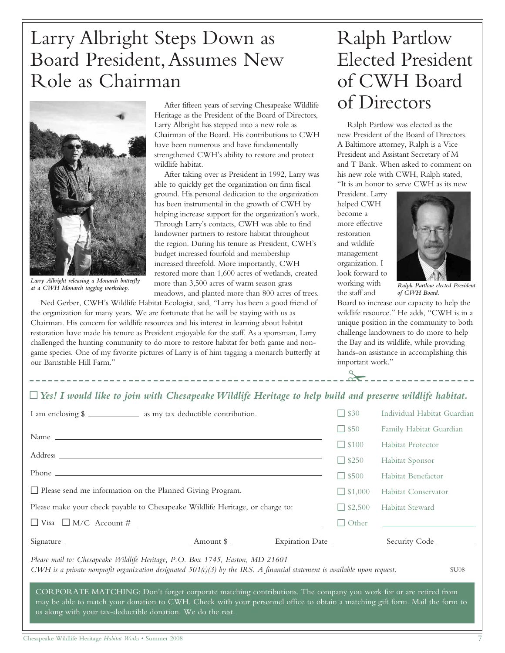# Larry Albright Steps Down as Board President,Assumes New Role as Chairman



*Larry Albright releasing a Monarch butterfly*

After fifteen years of serving Chesapeake Wildlife Heritage as the President of the Board of Directors, Larry Albright has stepped into a new role as Chairman of the Board. His contributions to CWH have been numerous and have fundamentally strengthened CWH's ability to restore and protect wildlife habitat.

After taking over as President in 1992, Larry was able to quickly get the organization on firm fiscal ground. His personal dedication to the organization has been instrumental in the growth of CWH by helping increase support for the organization's work. Through Larry's contacts, CWH was able to find landowner partners to restore habitat throughout the region. During his tenure as President, CWH's budget increased fourfold and membership increased threefold. More importantly, CWH restored more than 1,600 acres of wetlands, created more than 3,500 acres of warm season grass meadows, and planted more than 800 acres of trees. *at a CWH Monarch tagging workshop. Ralph Partlow elected President* at a CWH Monarch tagging workshop. *Ralph Partlow elected President* 

Ned Gerber, CWH's Wildlife Habitat Ecologist, said, "Larry has been a good friend of the organization for many years. We are fortunate that he will be staying with us as Chairman. His concern for wildlife resources and his interest in learning about habitat restoration have made his tenure as President enjoyable for the staff. As a sportsman, Larry challenged the hunting community to do more to restore habitat for both game and nongame species. One of my favorite pictures of Larry is of him tagging a monarch butterfly at our Barnstable Hill Farm."

# Ralph Partlow Elected President of CWH Board of Directors

Ralph Partlow was elected as the new President of the Board of Directors. A Baltimore attorney, Ralph is a Vice President and Assistant Secretary of M and T Bank. When asked to comment on his new role with CWH, Ralph stated, "It is an honor to serve CWH as its new

President. Larry helped CWH become a more effective restoration and wildlife management organization. I look forward to working with the staff and



*of CWH Board.*

important work."<br> $\sum_{n=1}^{\infty}$ Board to increase our capacity to help the wildlife resource." He adds, "CWH is in a unique position in the community to both challenge landowners to do more to help the Bay and its wildlife, while providing hands-on assistance in accomplishing this

## ~*Yes! I would like to join with Chesapeake Wildlife Heritage to help build and preserve wildlife habitat.*

| I am enclosing \$                                                                                                                                                                                                                                                                                              |  |  | $\Box$ \$30     | Individual Habitat Guardian                  |
|----------------------------------------------------------------------------------------------------------------------------------------------------------------------------------------------------------------------------------------------------------------------------------------------------------------|--|--|-----------------|----------------------------------------------|
|                                                                                                                                                                                                                                                                                                                |  |  | $\Box$ \$50     | Family Habitat Guardian                      |
|                                                                                                                                                                                                                                                                                                                |  |  | $\Box$ \$100    | <b>Habitat Protector</b>                     |
|                                                                                                                                                                                                                                                                                                                |  |  | $\Box$ \$250    | Habitat Sponsor                              |
| Phone $\frac{1}{2}$ Phone $\frac{1}{2}$ and $\frac{1}{2}$ and $\frac{1}{2}$ and $\frac{1}{2}$ and $\frac{1}{2}$ and $\frac{1}{2}$ and $\frac{1}{2}$ and $\frac{1}{2}$ and $\frac{1}{2}$ and $\frac{1}{2}$ and $\frac{1}{2}$ and $\frac{1}{2}$ and $\frac{1}{2}$ and $\frac{1}{2}$ and $\frac$                  |  |  | $\square$ \$500 | Habitat Benefactor                           |
| Please send me information on the Planned Giving Program.                                                                                                                                                                                                                                                      |  |  | $\Box$ \$1,000  | Habitat Conservator                          |
| Please make your check payable to Chesapeake Wildlife Heritage, or charge to:                                                                                                                                                                                                                                  |  |  | $\Box$ \$2,500  | Habitat Steward                              |
|                                                                                                                                                                                                                                                                                                                |  |  | $\Box$ Other    | the control of the control of the control of |
|                                                                                                                                                                                                                                                                                                                |  |  |                 |                                              |
| Please mail to: Chesapeake Wildlife Heritage, P.O. Box 1745, Easton, MD 21601<br>CWH is a private nonprofit organization designated $501(c)(3)$ by the IRS. A financial statement is available upon request.<br><b>SU08</b>                                                                                    |  |  |                 |                                              |
| CORPORATE MATCHING: Don't forget corporate matching contributions. The company you work for or are retired from<br>may be able to match your donation to CWH. Check with your personnel office to obtain a matching gift form. Mail the form to<br>us along with your tax-deductible donation. We do the rest. |  |  |                 |                                              |